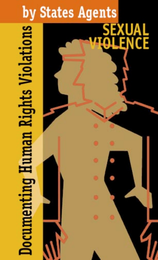# by States Agents<br>
Eligin Rights Violation<br>
The Rights Correct of the Correct of the Correct of the Correct of the Correct of the Correct of the Correct of the Correct of the Correct of the Correct of the Correct of the Cor

# ĈĒ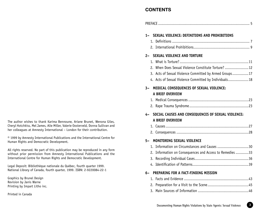# **CONTENTS**

| $1 -$     | SEXUAL VIOLENCE: DEFINITIONS AND PROHIBITIONS                                                             |
|-----------|-----------------------------------------------------------------------------------------------------------|
|           |                                                                                                           |
|           |                                                                                                           |
| $2-$      | <b>SEXUAL VIOLENCE AND TORTURE</b>                                                                        |
|           |                                                                                                           |
|           | 2. When Does Sexual Violence Constitute Torture?                                                          |
|           | 3. Acts of Sexual Violence Committed by Armed Groups17                                                    |
|           | 4. Acts of Sexual Violence Committed by Individuals 18                                                    |
|           | 3- MEDICAL CONSEQUENCES OF SEXUAL VIOLENCE:                                                               |
|           | <b>A BRIEF OVERVIEW</b>                                                                                   |
|           |                                                                                                           |
|           |                                                                                                           |
|           |                                                                                                           |
|           | 4- SOCIAL CAUSES AND CONSEQUENCES OF SEXUAL VIOLENCE:                                                     |
|           | <b>A BRIEF OVERVIEW</b>                                                                                   |
|           |                                                                                                           |
|           |                                                                                                           |
| 5–        | MONITORING SEXUAL VIOLENCE                                                                                |
|           |                                                                                                           |
|           |                                                                                                           |
| 3.        |                                                                                                           |
|           |                                                                                                           |
|           | 6- PREPARING FOR A FACT-FINDING MISSION                                                                   |
| $1 \cdot$ | 1. Information on Circumstances and Causes 30<br>2. Information on Consequences and Access to Remedies 33 |

The author wishes to thank Karima Bennoune, Ariane Brunet, Wenona Giles, Cheryl Hotchkiss, Mel James, Alie Miller, Valerie Oosterveld, Donna Sullivan and her colleagues at Amnesty International – London for their contribution.

© 1999 by Amnesty International Publications and the International Centre for Human Rights and Democratic Development.

All rights reserved. No part of this publication may be reproduced in any form without prior permission from Amnesty International Publications and the International Centre for Human Rights and Democratic Development.

Legal Deposit: Bibliothèque nationale du Québec, fourth quarter 1999. National Library of Canada, fourth quarter, 1999. ISBN: 2-9220084-22-1

Graphics by Brunel Design Revision by Janis Warne Printing by Impart Litho inc.

Printed in Canada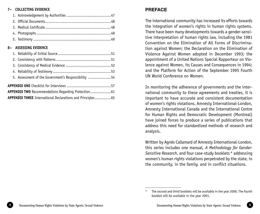#### **7– COLLECTING EVIDENCE**

#### **8– ASSESSING EVIDENCE**

| 5. Assessment of the Government's Responsibility 54         |  |
|-------------------------------------------------------------|--|
|                                                             |  |
| APPENDIX TWO Recommendations Regarding Protection 61        |  |
| APPENDIX THREE International Declarations and Principles 65 |  |

# **PREFACE**

The international community has increased its efforts towards the integration of women's rights in human rights systems. There have been many developments towards a gender-sensitive interpretation of human rights law, including the 1981 Convention on the Elimination of All Forms of Discrimination against Women; the Declaration on the Elimination of Violence Against Women adopted in December 1993; the appointment of a United Nations Special Rapporteur on Violence against Women, its Causes and Consequences in 1994; and the Platform for Action of the September 1995 Fourth UN World Conference on Women.

In monitoring the adherence of governments and the international community to these agreements and treaties, it is important to have accurate and consistent documentation of women's rights violations. Amnesty International-London, Amnesty International Canada and the International Centre for Human Rights and Democratic Development (Montreal) have joined forces to produce a series of publications that address this need for standardized methods of research and analysis.

Written by Agnès Callamard of Amnesty International-London, this series includes one manual*, A Methodology for Gender-Sensitive Research*, and four case-study booklets \* addressing women's human rights violations perpetrated by the state, in the community, in the family, and in conflict situations.

The second and third booklets will be available in the year 2000. The fourth booklet will be available in the year 2001.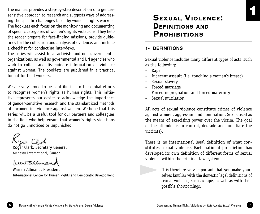The manual provides a step-by-step description of a gendersensitive approach to research and suggests ways of addressing the specific challenges faced by women's rights workers. The booklets each focus on the monitoring and documenting of specific categories of women's rights violations. They help the reader prepare for fact-finding missions, provide guidelines for the collection and analysis of evidence, and include a checklist for conducting interviews.

The series will assist local activists and non-governmental organizations, as well as governmental and UN agencies who work to collect and disseminate information on violence against women. The booklets are published in a practical format for field workers.

We are very proud to be contributing to the global efforts to recognize women's rights as human rights. This initiative represents our desire to acknowledge the importance of gender-sensitive research and the standardized methods of documenting violence against women. We hope that this series will be a useful tool for our partners and colleagues in the field who help ensure that women's rights violations do not go unnoticed or unpunished.

Roger Clark, Secretary General

Amnesty International, Canada

beer. alemand

Warren Allmand, President International Centre for Human Rights and Democratic Development

# **SEXUAL VIOLENCE:** DEFINITIONS AND **PROHIBITIONS**

# **1- DEFINITIONS**

Sexual violence includes many different types of acts, such as the following:

– Rape

▲

- Indecent assault (i.e. touching a woman's breast)
- Sexual slavery
- Forced marriage
- Forced impregnation and forced maternity
- Sexual mutilation

All acts of sexual violence constitute crimes of violence against women, aggression and domination. Sex is used as the means of exercising power over the victim. The goal of the offender is to control, degrade and humiliate the victim(s).

There is no international legal definition of what constitutes sexual violence. Each national jurisdiction has developed its own definition of different forms of sexual violence within the criminal law system.

> It is therefore very important that you make yourselves familiar with the domestic legal definitions of sexual violence, such as rape, as well as with their possible shortcomings.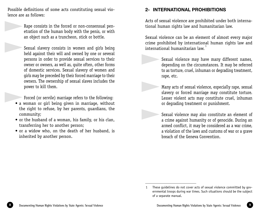Possible definitions of some acts constituting sexual violence are as follows:

▲

 Rape consists in the forced or non-consensual penetration of the human body with the penis, or with an object such as a truncheon, stick or bottle.

 Sexual slavery consists in women and girls being held against their will and owned by one or several persons in order to provide sexual services to their owner or owners, as well as, quite often, other forms of domestic services. Sexual slavery of women and girls may be preceded by their forced marriage to their owners. The ownership of sexual slaves includes the power to kill them. ▲

Forced (or servile) marriage refers to the following:

- a woman or girl being given in marriage, without the right to refuse, by her parents, guardians, the community; ▲
	- or the husband of a woman, his family, or his clan, transferring her to another person;
	- or a widow who, on the death of her husband, is inherited by another person.

# **2- INTERNATIONAL PROHIBITIONS**

▲

▲

▲

Acts of sexual violence are prohibited under both international human rights law and humanitarian law.

Sexual violence can be an element of almost every major crime prohibited by international human rights law and international humanitarian law. 1

> Sexual violence may have many different names, depending on the circumstances. It may be referred to as torture, cruel, inhuman or degrading treatment, rape, etc.

> Many acts of sexual violence, especially rape, sexual slavery or forced marriage may constitute torture. Lesser violent acts may constitute cruel, inhuman or degrading treatment or punishment.

> Sexual violence may also constitute an element of a crime against humanity or of genocide. During an armed conflict, it may be considered as a war crime, a violation of the laws and customs of war or a grave breach of the Geneva Convention.

<sup>1</sup> These guidelines do not cover acts of sexual violence committed by governmental troops during war times. Such situations should be the subject of a separate manual.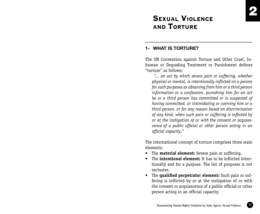# SEXUAL VIOLENCE AND TORTURE

# **1- WHAT IS TORTURE?**

The UN Convention against Torture and Other Cruel, Inhuman or Degrading Treatment or Punishment defines "torture" as follows:

 *"... an act by which severe pain or suffering, whether physical or mental, is intentionally inflicted on a person for such purposes as obtaining from him or a third person information or a confession, punishing him for an act he or a third person has committed or is suspected of having committed, or intimidating or coercing him or a third person, or for any reason based on discrimination of any kind, when such pain or suffering is inflicted by or at the instigation of or with the consent or acquiescence of a public official or other person acting in an official capacity."*

The international concept of torture comprises three main elements:

- The **material element:** Severe pain or suffering.
- The **intentional element:** It has to be inflicted intentionally and for a purpose. The list of purposes is not exclusive.
- The **qualified perpetrator element:** Such pain or suffering is inflicted by or at the instigation of or with the consent or acquiescence of a public official or other person acting in an official capacity.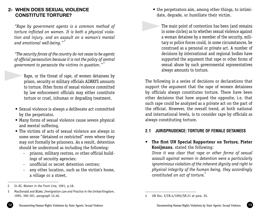# **2- WHEN DOES SEXUAL VIOLENCE CONSTITUTE TORTURE?**

▲

*"Rape by government agents is a common method of torture inflicted on women. It is both a physical violation and injury, and an assault on a woman's mental and emotional well-being."* <sup>2</sup>

*"The security forces of the country do not cease to be agents of official persecution because it is not the policy of central government to persecute the victims in question."* <sup>3</sup>

 Rape, or the threat of rape, of women detainees by prison, security or military officials ALWAYS amounts to torture. Other forms of sexual violence committed by law enforcement officials may either constitute torture or cruel, inhuman or degrading treatment.

- Sexual violence is always a deliberate act committed by the perpetrator.
- Many forms of sexual violence cause severe physical and mental suffering.
- The victims of acts of sexual violence are always in some sense "detained or restricted" even where they may not formally be prisoners. As a result, detention should be understood as including the following:
	- prisons, military centres, or other official buildings of security agencies;
	- unofficial or secret detention centres;
	- any other location, such as the victim's home, a village or a street.
- the perpetrators aim, among other things, to intimidate, degrade, or humiliate their victim.
- The main point of contention has been (and remains in some circles) as to whether sexual violence against a woman detainee by a member of the security, military or police forces could, in some circumstances, be construed as a personal or private act. A number of decisions by international and regional bodies have supported the argument that rape or other forms of sexual abuse by such governmental representatives always amounts to torture. ▲

The following is a series of decisions or declarations that support the argument that the rape of women detainees by officials always constitutes torture. There have been other decisions that have argued the opposite, i.e. that such rape could be analyzed as a private act on the part of the official. However, the overall trend, at both national and international levels, is to consider rape by officials as always constituting torture.

# **2.1 JURISPRUDENCE: TORTURE OF FEMALE DETAINEES**

**• The first UN Special Rapporteur on Torture, Pieter Kooijmans**, stated the following:

*Since it was clear that rape or other forms of sexual assault against women in detention were a particularly ignominious violation of the inherent dignity and right to physical integrity of the human being, they accordingly constituted an act of torture.*<sup>4</sup>

<sup>2</sup> In AI, *Women in the Front Line,* 1991, p.18.

<sup>3</sup> MacDonald and Blake, *Immigration Law and Practice in the United Kingdom*, 1995, 390-391, paragraph 12.40. 4 UN Doc. E/CN.4/1992/SR.21 at para. 35.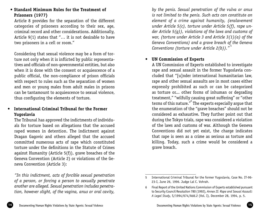Article 8 provides for the separation of the different categories of prisoners according to their sex, age, criminal record and other considerations. Additionally, Article 9(1) states that "… it is not desirable to have two prisoners in a cell or room."

Considering that sexual violence may be a form of torture not only when it is inflicted by public representatives and officials of non-governmental entities, but also when it is done with the consent or acquiescence of a public official, the non-compliance of prison officials with respect to rules such as the separation of women and men or young males from adult males in prisons can be tantamount to acquiescence to sexual violence, thus configuring the elements of torture.

# **• International Criminal Tribunal for the Former Yugoslavia**

The Tribunal has approved the indictments of individuals for torture based on allegations that the accused raped women in detention. The indictment against Dragan Gagovic and others alleged that the accused committed numerous acts of rape which constituted torture under the definitions in the Statute of Crimes against Humanity (Article 5(f)), grave breaches of the Geneva Convention (Article 2) or violations of the Geneva Convention (Article 3):

*"In this indictment, acts of forcible sexual penetration of a person, or forcing a person to sexually penetrate another are alleged. Sexual penetration includes penetration, however slight, of the vagina, anus or oral cavity,* 

*by the penis. Sexual penetration of the vulva or anus is not limited to the penis. Such acts can constitute an element of a crime against humanity, (enslavement under Article 5(c), torture under Article 5(f), rape under Article 5(g)), violations of the laws and customs of war, (torture under Article 3 and Article 3(1)(a) of the Geneva Conventions) and a grave breach of the Geneva Conventions (torture under Article 2(b))."*<sup>5</sup>

# **• UN Commission of Experts**

A UN Commission of Experts established to investigate rape and sexual assault in the former Yugoslavia concluded that "[u]nder international humanitarian law, rape and other sexual assaults are in most cases either expressly prohibited as such or can be categorized as torture or... other forms of inhuman or degrading treatment," "wilfully causing great suffering" or "other terms of this nature."<sup>6</sup> The experts especially argue that the enumeration of the "grave breaches" should not be considered as exhaustive. They further point out that during the Tokyo trials, rape was considered a violation of the laws and customs of war. Although the Geneva Conventions did not yet exist, the charge indicates that rape is seen as a crime as serious as torture and killing. Today, such a crime would be considered a grave breach.

<sup>5</sup> International Criminal Tribunal for the former Yugoslavia, Case No. IT-96- 23-I, June 26, 1996. Judge Lal C. Vohrah.

<sup>6</sup> Final Report of the United Nations Commission of Experts established pursuant to Security Council Resolution 780 (1992), *Annex II: Rape and Sexual Assault: A Legal Study*, S/1994/674/Add.2 (Vol. I), December 28, 1994, p. 5.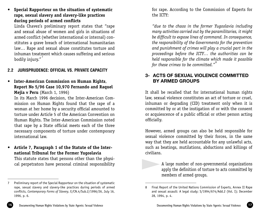**• Special Rapporteur on the situation of systematic rape, sexual slavery and slavery-like practices during periods of armed conflicts**

Linda Chavez's preliminary report states that "rape and sexual abuse of women and girls in situations of armed conflict (whether international or internal) constitutes a grave breach of international humanitarian law… Rape and sexual abuse constitutes torture and inhuman treatment which causes suffering and serious bodily injury."

# **2.2 JURISPRUDENCE: OFFICIAL VS. PRIVATE CAPACITY**

**• Inter-American Commission on Human Rights**, **Report No 5/96 Case 10,970 Fernando and Raquel Mejia v Peru** (March 1, 1996)

In its March 1996 decision, the Inter-American Commission on Human Rights found that the rape of a woman at her home by a security official amounted to torture under Article 5 of the American Convention on Human Rights. The Inter-American Commission noted that rape by a State official meets each of the three necessary components of torture under contemporary international law.

**• Article 7, Paragraph 1 of the Statute of the International Tribunal for the Former Yugoslavia**

This statute states that persons other than the physical perpetrators have personal criminal responsibility for rape. According to the Commission of Experts for the ICTY:

*"due to the chaos in the former Yugoslavia including many activities carried out by the paramilitaries, it might be difficult to expose lines of command. In consequence, the responsibility of the Governments for the prevention and punishment of crimes will play a crucial part in the proceedings before the ICTY… the authorities can be held responsible for the climate which made it possible for these crimes to be committed.*"<sup>8</sup>

# **3- ACTS OF SEXUAL VIOLENCE COMMITTED BY ARMED GROUPS**

It shall be recalled that for international human rights law, sexual violence constitutes an act of torture or cruel, inhuman or degrading (CID) treatment only when it is committed by or at the instigation of or with the consent or acquiescence of a public official or other person acting officially.

However, armed groups can also be held responsible for sexual violence committed by their forces, in the same way that they are held accountable for any unlawful acts, such as beatings, mutilations, abductions and killings of civilians.

▲

 A large number of non-governmental organizations apply the definition of torture to acts committed by members of armed groups.

<sup>7</sup> Preliminary report of the Special Rapporteur on the situation of systematic rape, sexual slavery and slavery-like practices during periods of armed conflicts, *Contemporary Forms of Slavery*, E/CN.4/Sub.2/1996/26, July 16, 1996, p. 6.

<sup>8</sup> Final Report of the United Nations Commission of Experts, Annex II Rape and sexual assault: A legal study; S/1994/674/Add.2 (Vol. I); December 28, 1994, p. 4.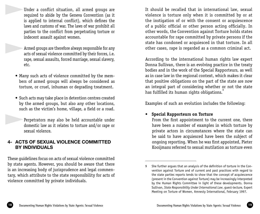- Under a conflict situation, all armed groups are required to abide by the Geneva Convention (as it is applied to internal conflict), which defines the laws and customs of war. The laws of war prohibit all parties to the conflict from perpetrating torture or indecent assault against women. ▲
- Armed groups are therefore always responsible for any acts of sexual violence committed by their forces, i.e. rape, sexual assaults, forced marriage, sexual slavery, etc. ▲
	- Many such acts of violence committed by the members of armed groups will always be considered as torture, or cruel, inhuman or degrading treatment.
	- Such acts may take place in detention centres created by the armed groups, but also any other locations, such as the victim's home, village, a field or a road.

 Perpetrators may also be held accountable under domestic law as it relates to torture and/or rape or sexual violence. ▲

# **4- ACTS OF SEXUAL VIOLENCE COMMITTED BY INDIVIDUALS**

These guidelines focus on acts of sexual violence committed by state agents. However, you should be aware that there is an increasing body of jurisprudence and legal commentary, which attribute to the state responsibility for acts of violence committed by private individuals.

It should be recalled that in international law, sexual violence is torture only when it is committed by or at the instigation of or with the consent or acquiescence of a public official or other person acting officially. In other words, the Convention against Torture holds states accountable for rape committed by private persons if the state has condoned or acquiesced in that torture. In all other cases, rape is regarded as a common criminal act.

According to the international human rights law expert Donna Sullivan, there is an evolving practice in the treaty bodies and in the work of the Special Rapporteurs, as well as in case law in the regional context, which makes it clear that positive obligations on the part of the state are now an integral part of considering whether or not the state has fulfilled its human rights obligations.

Examples of such an evolution includes the following:

# **• Special Rapporteurs on Torture**

From the first appointment to the current one, there have been a number of examples in which torture by private actors in circumstances where the state can be said to have acquiesced have been the subject of ongoing reporting. When he was first appointed, Pieter Kooijmans referred to sexual mutilation as torture even

<sup>9</sup> She further argues that an analysis of the definition of torture in the Convention against Torture and of current and past practices with regard to the state parties reports tends to show that the concept of acquiescence (present in the Convention against Torture) may be increasingly interpreted by the Human Rights Committee in light of these developments. Donna Sullivan, *State Responsibility Under International Law*, guest-lecture, Expert Meeting on Torture of Women, Amnesty International, February 1997.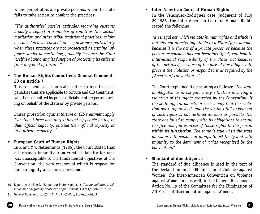where perpetrators are private persons, when the state fails to take action to combat the practices:

*"The authorities' passive attitudes regarding customs broadly accepted in a number of countries (i.e. sexual mutilation and other tribal traditional practices) might be considered as consent or acquiescence particularly when these practices are not prosecuted as criminal offences under domestic law, probably because the State itself is abandoning its function of protecting its citizens from any kind of torture."* <sup>10</sup>

# **• The Human Rights Committee's General Comment 20 on Article 7**

This comment called on state parties to report on the penalties that are applicable to torture and CID treatment, whether committed by public officials or other persons acting on behalf of the state or by private persons:

*States' protection against torture or CID treatment apply "whether [these acts are] inflicted by people acting in their official capacity, outside their official capacity or in a private capacity."* <sup>11</sup>

# **• European Court of Human Rights**

In X and Y v. Netherlands (1985), the Court stated that a husband's impunity from criminal liability for rape was unacceptable to the fundamental objectives of the Convention, the very essence of which is respect for human dignity and human freedom.

**• Inter-American Court of Human Rights** In the Velasquez-Rodriguez case, judgment of July 29,1988, the Inter-American Court of Human Rights stated the following:

*"An illegal act which violates human rights and which is initially not directly imputable to a State (for example, because it is the act of a private person or because the person responsible has not been identified) can lead to international responsibility of the State, not because of the act itself, because of the lack of due diligence to prevent the violation or respond to it as required by the [American] convention…"*

The Court explained its reasoning as follows: "*The state is obligated to investigate every situation involving a violation of the rights protected by the Convention. If the state apparatus acts in such a way that the violation goes unpunished, and the victim's full enjoyment of such rights is not restored as soon as possible, the state has failed to comply with its obligations to ensure the free and full exercise of those rights to the person within its jurisdiction. The same is true when the state allows private persons or groups to act freely and with impunity to the detriment of rights recognized by the Convention.*"

# • **Standard of due diligence**

The standard of due diligence is used in the text of the Declaration on the Elimination of Violence against Women, the Inter-American Convention on Violence against Women and as well, in the General Recommendation No. 19 of the Committee for the Elimination of All Forms of Discrimination against Women.

<sup>10</sup> Report by the Special Rapporteur Pieter Kooijmans, *Torture and other cruel, inhuman or degrading treatment or punishment*, E/CN.4/1986/15, p. 11.

<sup>11</sup> General Comment no. 20 (44) Art.7, CCPR/C/21/Rev.1/Add.3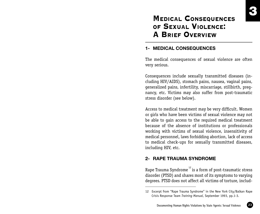# **MEDICAL CONSEQUENCES** OF SEXUAL VIOLENCE: A BRIEF OVERVIEW

# **1- MEDICAL CONSEQUENCES**

The medical consequences of sexual violence are often very serious.

Consequences include sexually transmitted diseases (including HIV/AIDS), stomach pains, nausea, vaginal pains, generalized pains, infertility, miscarriage, stillbirth, pregnancy, etc. Victims may also suffer from post-traumatic stress disorder (see below).

Access to medical treatment may be very difficult. Women or girls who have been victims of sexual violence may not be able to gain access to the required medical treatment because of the absence of institutions or professionals working with victims of sexual violence, insensitivity of medical personnel, laws forbidding abortion, lack of access to medical check-ups for sexually transmitted diseases, including HIV, etc.

# **2- RAPE TRAUMA SYNDROME**

Rape Trauma Syndrome<sup>12</sup> is a form of post-traumatic stress disorder (PTSD) and shares most of its symptoms to varying degrees. PTSD does not affect all victims of torture, includ-

<sup>12</sup> Excerpt from "Rape Trauma Syndrome" in the New York City/Balkan Rape Crisis Response Team *Training Manual*, September 1993, pp.1-3.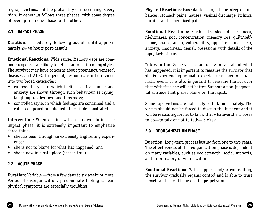ing rape victims, but the probability of it occurring is very high. It generally follows three phases, with some degree of overlap from one phase to the other:

# **2.1 IMPACT PHASE**

**Duration**: Immediately following assault until approximately 24-48 hours post-assault.

**Emotional Reactions**: Wide range. Memory gaps are common; responses are likely to reflect automatic coping styles. The survivor may have concerns about pregnancy, venereal diseases and AIDS. In general, responses can be divided into two broad categories:

- expressed style, in which feelings of fear, anger and anxiety are shown through such behaviour as crying, laughing, restlessness and tenseness;
- controlled style, in which feelings are contained and a calm, composed or subdued affect is demonstrated.

**Intervention**: When dealing with a survivor during the impact phase, it is extremely important to emphasize three things:

- she has been through an extremely frightening experience;
- she is not to blame for what has happened; and
- she is now in a safe place (if it is true).

# **2.2 ACUTE PHASE**

**Duration**: Variable — from a few days to six weeks or more. Period of disorganization, predominate feeling is fear, physical symptoms are especially troubling.

**Physical Reactions**: Muscular tension, fatigue, sleep disturbances, stomach pains, nausea, vaginal discharge, itching, burning and generalized pains.

**Emotional Reactions**: Flashbacks, sleep disturbances, nightmares, poor concentration, memory loss, guilt/selfblame, shame, anger, vulnerability, appetite change, fear, anxiety, moodiness, denial, obsessions with details of the rape, lack of trust.

**Intervention**: Some victims are ready to talk about what has happened. It is important to reassure the survivor that she is experiencing normal, expected reactions to a traumatic event. It is also important to reassure the survivor that with time she will get better. Support a non-judgmental attitude that places blame on the rapist.

Some rape victims are not ready to talk immediately. The victim should not be forced to discuss the incident and it will be reassuring for her to know that whatever she chooses to do—to talk or not to talk—is okay.

# **2.3 REORGANIZATION PHASE**

**Duration**: Long-term process lasting from one to two years. The effectiveness of the reorganization phase is dependent on many variables, such as ego strength, social supports, and prior history of victimization.

**Emotional Reactions**: With support and/or counselling, the survivor gradually regains control and is able to trust herself and place blame on the perpetrators.

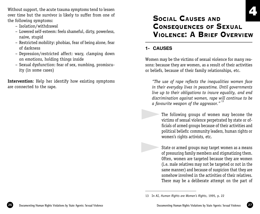Without support, the acute trauma symptoms tend to lessen over time but the survivor is likely to suffer from one of the following symptoms:

- Isolation/withdrawal
- Lowered self-esteem: feels shameful, dirty, powerless, naive, stupid
- Restricted mobility: phobias, fear of being alone, fear of darkness
- Depression/restricted affect: wary, clamping down on emotions, holding things inside
- Sexual dysfunction: fear of sex, numbing, promiscuity (in some cases)

**Intervention**: Help her identify how existing symptoms are connected to the rape.

# SOCIAL CAUSES AND CONSEQUENCES OF SEXUAL VIOLENCE: A BRIEF OVERVIEW

# **1- CAUSES**

▲

▲

Women may be the victims of sexual violence for many reasons: because they are women, as a result of their activities or beliefs, because of their family relationships, etc.

*"The use of rape reflects the inequalities women face in their everyday lives in peacetime. Until governments live up to their obligations to insure equality, and end discrimination against women, rape will continue to be a favourite weapon of the aggressor."* <sup>13</sup>

 The following groups of women may become the victims of sexual violence perpetrated by state or officials of armed groups because of their activities and political beliefs: community leaders, human rights or women's rights activists, etc.

 State or armed groups may target women as a means of pressuring family members and stigmatizing them. Often, women are targeted because they are women (i.e. male relatives may not be targeted or not in the same manner) and because of suspicion that they are somehow involved in the activities of their relatives. There may be a deliberate attempt on the part of

<sup>13</sup> In AI, *Human Rights are Women's Rights*, 1995, p. 22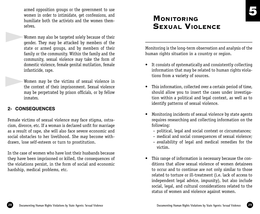armed opposition groups or the government to use women in order to intimidate, get confessions, and humiliate both the activists and the women themselves.

 Women may also be targeted solely because of their gender. They may be attacked by members of the state or armed groups, and by members of their family or the community. Within the family and the community, sexual violence may take the form of domestic violence, female genital mutilation, female infanticide, rape. ▲

 Women may be the victims of sexual violence in the context of their imprisonment. Sexual violence may be perpetrated by prison officials, or by fellow inmates. ▲

# **2- CONSEQUENCES**

Female victims of sexual violence may face stigma, ostracism, divorce, etc. If a woman is declared unfit for marriage as a result of rape, she will also face severe economic and social obstacles to her livelihood. She may become withdrawn, lose self-esteem or turn to prostitution.

In the case of women who have lost their husbands because they have been imprisoned or killed, the consequences of the violations persist, in the form of social and economic hardship, medical problems, etc.

# **MONITORING** SEXUAL VIOLENCE

Monitoring is the long-term observation and analysis of the human rights situation in a country or region.

- It consists of systematically and consistently collecting information that may be related to human rights violations from a variety of sources.
- This information, collected over a certain period of time, should allow you to insert the cases under investigation within a political and legal context, as well as to identify patterns of sexual violence.
- Monitoring incidents of sexual violence by state agents requires researching and collecting information on the following:
	- political, legal and social context or circumstances;
	- medical and social consequences of sexual violence;
	- availability of legal and medical remedies for the victim.
- This range of information is necessary because the conditions that allow sexual violence of women detainees to occur and to continue are not only similar to those related to torture or ill-treatment (i.e. lack of access to independent legal advice, impunity), but also include social, legal, and cultural considerations related to the status of women and violence against women.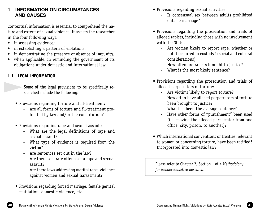# **1- INFORMATION ON CIRCUMSTANCES AND CAUSES**

Contextual information is essential to comprehend the nature and extent of sexual violence. It assists the researcher in the four following ways:

- in assessing evidence;
- in establishing a pattern of violations;
- in demonstrating the presence or absence of impunity;
- when applicable, in reminding the government of its obligations under domestic and international law.

# **1.1. LEGAL INFORMATION**

▲

 Some of the legal provisions to be specifically researched include the following:

- Provisions regarding torture and ill-treatment:
	- Are all forms of torture and ill-treatment prohibited by law and/or the constitution?
- Provisions regarding rape and sexual assault:
	- What are the legal definitions of rape and sexual assault?
	- What type of evidence is required from the victim?
	- Are sentences set out in the law?
	- Are there separate offences for rape and sexual assault?
	- Are there laws addressing marital rape, violence against women and sexual harassment?
- Provisions regarding forced marriage, female genital mutilation, domestic violence, etc.
- Provisions regarding sexual activities:
	- Is consensual sex between adults prohibited outside marriage?
- Provisions regarding the prosecution and trials of alleged rapists, including those with no involvement with the State:
	- Are women likely to report rape, whether or not it occurred in custody? (social and cultural considerations)
	- How often are rapists brought to justice?
	- What is the most likely sentence?
- Provisions regarding the prosecution and trials of alleged perpetrators of torture:
	- Are victims likely to report torture?
	- How often have alleged perpetrators of torture been brought to justice?
	- What has been the average sentence?
	- Have other forms of "punishment" been used (i.e. moving the alleged perpetrator from one office, city, prison, to another)?
- Which international conventions or treaties, relevant to women or concerning torture, have been ratified? Incorporated into domestic law?

Please refer to Chapter 7, Section 1 of *A Methodology for Gender-Sensitive Research*.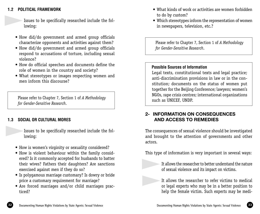# **1.2 POLITICAL FRAMEWORK**

▲

 Issues to be specifically researched include the following:

- How did/do government and armed group officials characterize opponents and activities against them?
- How did/do government and armed group officials respond to accusations of torture, including sexual violence?
- How do official speeches and documents define the role of women in the country and society?
- What stereotypes or images respecting women and men inform this discourse?

Please refer to Chapter 7, Section 1 of *A Methodology for Gender-Sensitive Research*.

# **1.3 SOCIAL OR CULTURAL MORES**

 Issues to be specifically researched include the following:  $\blacktriangleright$ 

- How is women's virginity or sexuality considered?
- How is violent behaviour within the family considered? Is it commonly accepted for husbands to batter their wives? Fathers their daughters? Are sanctions exercised against men if they do so?
- Is polygamous marriage customary? Is dowry or bride price a customary requirement for marriage?
- Are forced marriages and/or child marriages practiced?
- What kinds of work or activities are women forbidden to do by custom?
- Which stereotypes inform the representation of women in newspapers, television, etc.?

Please refer to Chapter 7, Section 1 of *A Methodology for Gender-Sensitive Research*.

# **Possible Sources of Information**

▲

▲

Legal texts, constitutional texts and legal practice; anti-discrimination provisions in law or in the constitution; documents on the status of women put together for the Beijing Conference; lawyers; women's NGOs, rape crisis centres; international organizations such as UNICEF, UNDP.

# **2- INFORMATION ON CONSEQUENCES AND ACCESS TO REMEDIES**

The consequences of sexual violence should be investigated and brought to the attention of governments and other actors.

This type of information is very important in several ways:

 It allows the researcher to better understand the nature of sexual violence and its impact on victims.

 It allows the researcher to refer victims to medical or legal experts who may be in a better position to help the female victim. Such experts may be medi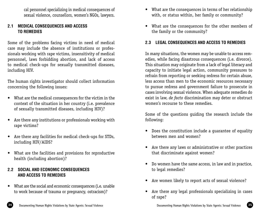cal personnel specializing in medical consequences of sexual violence, counsellors, women's NGOs, lawyers.

# **2.1 MEDICAL CONSEQUENCES AND ACCESS TO REMEDIES**

Some of the problems facing victims in need of medical care may include the absence of institutions or professionals working with rape victims, insensitivity of medical personnel, laws forbidding abortion, and lack of access to medical check-ups for sexually transmitted diseases, including HIV.

The human rights investigator should collect information concerning the following issues:

- What are the medical consequences for the victim in the context of the situation in her country (i.e. prevalence of sexually transmitted diseases, including HIV)?
- Are there any institutions or professionals working with rape victims?
- Are there any facilities for medical check-ups for STDs, including HIV/AIDS?
- What are the facilities and provisions for reproductive health (including abortion)?

# **2.2 SOCIAL AND ECONOMIC CONSEQUENCES AND ACCESS TO REMEDIES**

• What are the social and economic consequences (i.e. unable to work because of trauma or pregnancy, ostracism)?

- What are the consequences in terms of her relationship with, or status within, her family or community?
- What are the consequences for the other members of the family or the community?

# **2.3 LEGAL CONSEQUENCES AND ACCESS TO REMEDIES**

In many situations, the women may be unable to access remedies, while facing disastrous consequences (i.e. divorce). This situation may originate from a lack of legal literacy and capacity to initiate legal action, community pressures to refrain from reporting or seeking redress for certain abuse, less access than men to the economic resources necessary to pursue redress and government failure to prosecute in cases involving sexual violence. When adequate remedies do exist in law, *de facto* discrimination may deter or obstruct women's recourse to these remedies.

Some of the questions guiding the research include the following:

- Does the constitution include a guarantee of equality between men and women?
- Are there any laws or administrative or other practices that discriminate against women?
- Do women have the same access, in law and in practice, to legal remedies?
- Are women likely to report acts of sexual violence?
- Are there any legal professionals specializing in cases of rape?

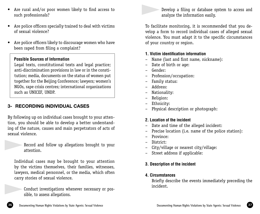- Are police officers specially trained to deal with victims of sexual violence?
- Are police officers likely to discourage women who have been raped from filing a complaint?

# **Possible Sources of Information**

Legal texts, constitutional texts and legal practice; anti-discrimination provisions in law or in the constitution; media, documents on the status of women put together for the Beijing Conference; lawyers; women's NGOs, rape crisis centres; international organizations such as UNICEF, UNDP.

# **3- RECORDING INDIVIDUAL CASES**

▲

▲

By following up on individual cases brought to your attention, you should be able to develop a better understanding of the nature, causes and main perpetrators of acts of sexual violence.

> Record and follow up allegations brought to your attention.

Individual cases may be brought to your attention by the victims themselves, their families, witnesses, lawyers, medical personnel, or the media, which often carry stories of sexual violence.

 Conduct investigations whenever necessary or possible, to assess allegations.

 Develop a filing or database system to access and analyze the information easily. ▲

To facilitate monitoring, it is recommended that you develop a form to record individual cases of alleged sexual violence. You must adapt it to the specific circumstances of your country or region.

# **1. Victim identification information**

- Name (last and first name, nickname):
- Date of birth or age:
- Gender:
- Profession/occupation:
- Family status:
- Address:
- Nationality:
- Religion:
- Ethnicity:
- Physical description or photograph:

# **2. Location of the incident**

- Date and time of the alleged incident:
- Precise location (i.e. name of the police station):
- Province:
- District:
- City/village or nearest city/village:
- Street address if applicable:

# **3. Description of the incident**

# **4. Circumstances**

Briefly describe the events immediately preceding the incident.

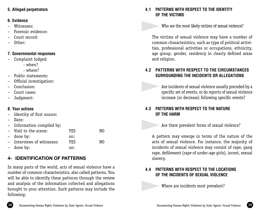# **5. Alleged perpetrators**

### **6. Evidence**

- Witnesses:
- Forensic evidence:
- Court record:
- Other:

# **7. Governmental responses**

- Complaint lodged:
	- when?
	- where?
- Public statements:
- Official investigation:
- Conclusion:
- Court cases:
- Judgment:

# **8. Your actions**

- Identity of first source:
- Date:
- Information compiled by:

| - Visit to the scene:      | YF.S | N0 |
|----------------------------|------|----|
| - done by:                 | on:  |    |
| - Interviews of witnesses: | YES  | N0 |
| - done by:                 | on:  |    |

# **4- IDENTIFICATION OF PATTERNS**

In many parts of the world, acts of sexual violence have a number of common characteristics, also called patterns. You will be able to identify these patterns through the review and analysis of the information collected and allegations brought to your attention. Such patterns may include the following:

# **4.1 PATTERNS WITH RESPECT TO THE IDENTITY OF THE VICTIMS**

 Who are the most likely victims of sexual violence? ▲

The victims of sexual violence may have a number of common characteristics, such as type of political activities, professional activities or occupations, ethnicity, age group, gender, residency in clearly defined areas and religion.

# **4.2 PATTERNS WITH RESPECT TO THE CIRCUMSTANCES SURROUNDING THE INCIDENTS OR ALLEGATIONS**

 Are incidents of sexual violence usually preceded by a specific set of events, or do reports of sexual violence increase (or decrease) following specific events?

# **4.3 PATTERNS WITH RESPECT TO THE NATURE OF THE HARM**

▲

▲

▲

Are there prevalent forms of sexual violence?

A pattern may emerge in terms of the nature of the acts of sexual violence. For instance, the majority of incidents of sexual violence may consist of rape, gang rape, defilement (rape of under-age girls), incest, sexual slavery.

# **4.4 PATTERNS WITH RESPECT TO THE LOCATIONS OF THE INCIDENTS OF SEXUAL VIOLENCE**

Where are incidents most prevalent?

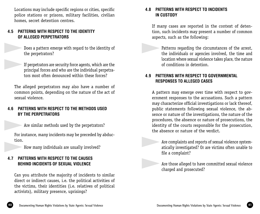Locations may include specific regions or cities, specific police stations or prisons, military facilities, civilian homes, secret detention centres.

# **4.5 PATTERNS WITH RESPECT TO THE IDENTITY OF ALLEGED PERPETRATORS**

 Does a pattern emerge with regard to the identity of the perpetrators?

 If perpetrators are security force agents, which are the principal forces and who are the individual perpetrators most often denounced within these forces?

The alleged perpetrators may also have a number of common points, depending on the nature of the act of sexual violence.

# **4.6 PATTERNS WITH RESPECT TO THE METHODS USED BY THE PERPETRATORS**

Are similar methods used by the perpetrators?

For instance, many incidents may be preceded by abduction. ▲

How many individuals are usually involved?

# **4.7 PATTERNS WITH RESPECT TO THE CAUSES BEHIND INCIDENTS OF SEXUAL VIOLENCE**

Can you attribute the majority of incidents to similar direct or indirect causes, i.e. the political activities of the victims, their identities (i.e. relatives of political activists), military presence, uprisings?

# **4.8 PATTERNS WITH RESPECT TO INCIDENTS IN CUSTODY**

If many cases are reported in the context of detention, such incidents may present a number of common aspects, such as the following:

 Patterns regarding the circumstances of the arrest, the individuals or agencies involved, the time and location where sexual violence takes place, the nature of conditions in detention. ▲

# **4.9 PATTERNS WITH RESPECT TO GOVERNMENTAL RESPONSES TO ALLEGED CASES**

A pattern may emerge over time with respect to government responses to the accusations. Such a pattern may characterize official investigations or lack thereof, public statements following sexual violence, the absence or nature of the investigations, the nature of the procedures, the absence or nature of prosecutions, the identity of the courts responsible for the prosecution, the absence or nature of the verdict.

 Are complaints and reports of sexual violence systematically investigated? Or are victims often unable to file a complaint?

 Are those alleged to have committed sexual violence charged and prosecuted?

▲

▲



▲

 $\blacktriangleright$ 

 $\blacktriangleright$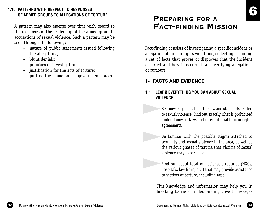# **4.10 PATTERNS WITH RESPECT TO RESPONSES OF ARMED GROUPS TO ALLEGATIONS OF TORTURE**

A pattern may also emerge over time with regard to the responses of the leadership of the armed group to accusations of sexual violence. Such a pattern may be seen through the following:

- nature of public statements issued following the allegations;
- blunt denials;
- promises of investigation;
- justification for the acts of torture;
- putting the blame on the government forces.

# PREPARING FOR A FACT-FINDING MISSION

Fact-finding consists of investigating a specific incident or allegation of human rights violations, collecting or finding a set of facts that proves or disproves that the incident occurred and how it occurred, and verifying allegations or rumours.

# **1- FACTS AND EVIDENCE**

▲

▲

▲

# **1.1 LEARN EVERYTHING YOU CAN ABOUT SEXUAL VIOLENCE**

 Be knowledgeable about the law and standards related to sexual violence. Find out exactly what is prohibited under domestic laws and international human rights agreements.

 Be familiar with the possible stigma attached to sexuality and sexual violence in the area, as well as the various phases of trauma that victims of sexual violence may experience.

 Find out about local or national structures (NGOs, hospitals, law firms, etc.) that may provide assistance to victims of torture, including rape.

 This knowledge and information may help you in breaking barriers, understanding covert messages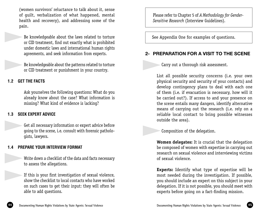(women survivors' reluctance to talk about it, sense of guilt, verbalization of what happened, mental health and recovery), and addressing some of the pain.

 Be knowledgeable about the laws related to torture or CID treatment, find out exactly what is prohibited under domestic laws and international human rights agreements, and seek information from experts. ▲

> Be knowledgeable about the patterns related to torture or CID treatment or punishment in your country.

# **1.2 GET THE FACTS**

▲

▲

▲

 Ask yourselves the following questions: What do you already know about the case? What information is missing? What kind of evidence is lacking?

# **1.3 SEEK EXPERT ADVICE**

 Get all necessary information or expert advice before going to the scene, i.e. consult with forensic pathologists, lawyers. ▲

# **1.4 PREPARE YOUR INTERVIEW FORMAT**

 Write down a checklist of the data and facts necessary to assess the allegations.

 If this is your first investigation of sexual violence, show the checklist to local contacts who have worked on such cases to get their input: they will often be able to add questions.

Please refer to Chapter 5 of *A Methodology for Gender-Sensitive Research* (Interview Guidelines).

See Appendix One for examples of questions.

# **2- PREPARATION FOR A VISIT TO THE SCENE**

Carry out a thorough risk assessment.

▲

 List all possible security concerns (i.e. your own physical security and security of your contacts) and develop contingency plans to deal with each one of them (i.e. if evacuation is necessary, how will it be carried out?). If access to and your presence on the scene entails many dangers, identify alternative means of carrying out the research (i.e. rely on a reliable local contact to bring possible witnesses outside the area).

 Composition of the delegation. ▲

> **Women delegates:** It is crucial that the delegation be composed of women with expertise in carrying out research on sexual violence and interviewing victims of sexual violence.

> **Experts:** Identify what type of expertise will be most needed during the investigation. If possible, you should include an expert on this subject in your delegation. If it is not possible, you should meet with experts before going on a fact-finding mission.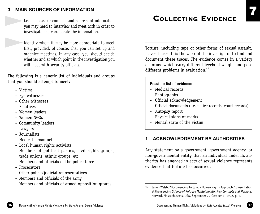# **3- MAIN SOURCES OF INFORMATION**

 List all possible contacts and sources of information you may need to interview and meet with in order to investigate and corroborate the information.

 Identify whom it may be more appropriate to meet first, provided, of course, that you can set up and organize meetings. In any case, you should decide whether and at which point in the investigation you will meet with security officials.

The following is a generic list of individuals and groups that you should attempt to meet:

– Victims

▲

▲

- Eye witnesses
- Other witnesses
- Relatives
- Women leaders
- Women NGOs
- Community leaders
- Lawyers
- Journalists
- Medical personnel
- Local human rights activists
- Members of political parties, civil rights groups, trade unions, ethnic groups, etc.
- Members and officials of the police force
- Prosecutors
- Other police/judicial representatives
- Members and officials of the army
- Members and officials of armed opposition groups

# COLLECTING EVIDENCE

Torture, including rape or other forms of sexual assault, leaves traces. It is the work of the investigator to find and document these traces. The evidence comes in a variety of forms, which carry different levels of weight and pose different problems in evaluation.<sup>1</sup>

# **Possible list of evidence**

- Medical records
- Photographs
- Official acknowledgement
- Official documents (i.e. police records, court records)
- Autopsy report
- Physical signs or marks
- Mental state of the victim

# **1- ACKNOWLEDGEMENT BY AUTHORITIES**

Any statement by a government, government agency, or non-governmental entity that an individual under its authority has engaged in acts of sexual violence represents evidence that torture has occurred.



<sup>14</sup> James Welsh, "Documenting Torture: a Human Rights Approach," presentation at the meeting *Science of Refugee Mental Health: New Concepts and Methods,* Harvard, Massachusetts, USA, September 29-October 1, 1992, p. 2.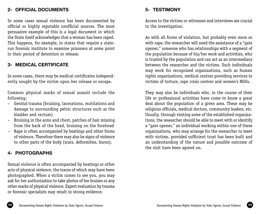# **2- OFFICIAL DOCUMENTS**

In some cases sexual violence has been documented by official or highly reputable unofficial sources. The most persuasive example of this is a legal document in which the State itself acknowledges that a woman has been raped. This happens, for example, in states that require a staterun forensic institute to examine prisoners at some point in their period of detention or release.

# **3- MEDICAL CERTIFICATE**

In some cases, there may be medical certificates independently sought by the victim upon her release or escape.

Common physical marks of sexual assault include the following:

- Genital trauma (bruising, lacerations, mutilations and damage to surrounding pelvic structures such as the bladder and rectum)
- Bruising in the arms and chest, patches of hair missing from the back of the head, bruising on the forehead
- Rape is often accompanied by beatings and other forms of violence. Therefore there may also be signs of violence to other parts of the body (scars, deformities, burns).

# **4- PHOTOGRAPHS**

Sexual violence is often accompanied by beatings or other acts of physical violence, the traces of which may have been photographed. When a victim comes to see you, you may ask for her authorization to take photos of her bruises or any other marks of physical violence. Expert evaluation by trauma or forensic specialists may result in strong evidence.

# **5- TESTIMONY**

Access to the victims or witnesses and interviews are crucial to the investigation.

As with all forms of violation, but probably even more so with rape, the researcher will need the assistance of a "gate opener," someone who has relationships with a segment of the population because of his/her work and activities, who is trusted by the population and can act as an intermediary between the researcher and the victims. Such individuals may work for recognized organizations, such as human rights organizations, medical centres providing services to victims of torture, rape crisis centres and women's NGOs.

They may also be individuals who, in the course of their life or professional activities have come to know a great deal about the population of a given area. These may be religious officials, medical doctors, community leaders, etc. Usually, through visiting some of the established organizations, the researcher should be able to meet with or identify a "gate opener," an individual working within one of these organizations, who may arrange for the researcher to meet with victims, provided sufficient trust has been built and an understanding of the nature and possible outcome of the visit have been agreed on.

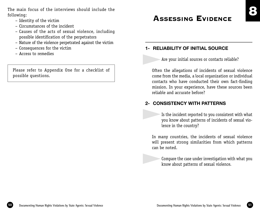The main focus of the interviews should include the following:

- Identity of the victim
- Circumstances of the incident
- Causes of the acts of sexual violence, including possible identification of the perpetrators
- Nature of the violence perpetrated against the victim
- Consequences for the victim
- Access to remedies

Please refer to Appendix One for a checklist of possible questions.

# **ASSESSING EVIDENCE**

# **1- RELIABILITY OF INITIAL SOURCE**

▲

▲

 $\blacktriangleright$ 

Are your initial sources or contacts reliable?

Often the allegations of incidents of sexual violence come from the media, a local organization or individual contacts who have conducted their own fact-finding mission. In your experience, have these sources been reliable and accurate before?

# **2- CONSISTENCY WITH PATTERNS**

 Is the incident reported to you consistent with what you know about patterns of incidents of sexual violence in the country?

In many countries, the incidents of sexual violence will present strong similarities from which patterns can be noted.

 Compare the case under investigation with what you know about patterns of sexual violence.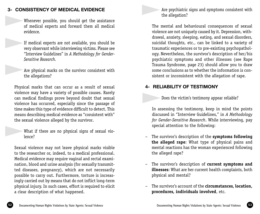# **3- CONSISTENCY OF MEDICAL EVIDENCE**

 Whenever possible, you should get the assistance of medical experts and forward them all medical evidence. ▲

- If medical experts are not available, you should be very observant while interviewing victims. Please see "Interview Guidelines" in *A Methodology for Gender-Sensitive Research.*  ▲
- Are physical marks on the survivor consistent with the allegations? ▲

Physical marks that can occur as a result of sexual violence may have a variety of possible causes. Rarely can medical findings prove beyond doubt that sexual violence has occurred, especially since the passage of time makes this type of evidence difficult to detect. This means describing medical evidence as "consistent with" the sexual violence alleged by the survivor.

 What if there are no physical signs of sexual violence? ▲

Sexual violence may not leave physical marks visible to the researcher or, indeed, to a medical professional. Medical evidence may require vaginal and rectal examination, blood and urine analysis (for sexually transmitted diseases, pregnancy), which are not necessarily possible to carry out. Furthermore, torture is increasingly carried out by means that do not inflict long-term physical injury. In such cases, effort is required to elicit a clear description of what happened.

 Are psychiatric signs and symptoms consistent with the allegation? ▲

The mental and behavioural consequences of sexual violence are not uniquely caused by it. Depression, withdrawal, anxiety, sleeping, eating, and sexual disorders, suicidal thoughts, etc., can be linked to a variety of traumatic experiences or to pre-existing psychopathology. Nevertheless, the survivor's description of her/his psychiatric symptoms and other illnesses (see Rape Trauma Syndrome, page 23) should allow you to draw some conclusions as to whether the information is consistent or inconsistent with the allegation of rape.

# **4- RELIABILITY OF TESTIMONY**

 Does the victim's testimony appear reliable? ▲

In assessing the testimony, keep in mind the points discussed in "Interview Guidelines," in *A Methodology for Gender-Sensitive Research*. While interviewing, pay special attention to the following:

- The survivor's description of the **symptoms following the alleged rape**: What type of physical pains and mental reactions has the woman experienced following the alleged rape?
- The survivor's description of **current symptoms and illnesses**: What are her current health complaints, both physical and mental?
- The survivor's account of the **circumstances, location, procedures, individuals involved**, etc.

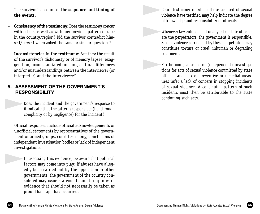- The survivor's account of the **sequence and timing of the events**.
- **Consistency of the testimony**: Does the testimony concur with others as well as with any previous pattern of rape in the country/region? Did the survivor contradict himself/herself when asked the same or similar questions?
- **Inconsistencies in the testimony**: Are they the result of the survivor's dishonesty or of memory lapses, exaggeration, unsubstantiated rumours, cultural differences and/or misunderstandings between the interviewer (or interpreter) and the interviewee?

# **5- ASSESSMENT OF THE GOVERNMENT'S RESPONSIBILITY**

 Does the incident and the government's response to it indicate that the latter is responsible (i.e. through complicity or by negligence) for the incident? ▲

Official responses include official acknowledgements or unofficial statements by representatives of the government or armed groups, court testimony, conclusions of independent investigation bodies or lack of independent investigations.

 In assessing this evidence, be aware that political factors may come into play: if abuses have allegedly been carried out by the opposition or other governments, the government of the country considered may issue statements and bring forward evidence that should not necessarily be taken as proof that rape has occurred. ▲

 Court testimony in which those accused of sexual violence have testified may help indicate the degree of knowledge and responsibility of officials. ▲

▲

▲

 Whenever law enforcement or any other state officials are the perpetrators, the government is responsible. Sexual violence carried out by these perpetrators may constitute torture or cruel, inhuman or degrading treatment.

 Furthermore, absence of (independent) investigations for acts of sexual violence committed by state officials and lack of preventive or remedial measures infer a lack of concern in stopping incidents of sexual violence. A continuing pattern of such incidents must then be attributable to the state condoning such acts.

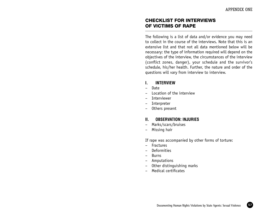# CHECKLIST FOR INTERVIEWS OF VICTIMS OF RAPE

The following is a list of data and/or evidence you may need to collect in the course of the interviews. Note that this is an extensive list and that not all data mentioned below will be necessary: the type of information required will depend on the objectives of the interview, the circumstances of the interview (conflict zones, danger), your schedule and the survivor's schedule, his/her health. Further, the nature and order of the questions will vary from interview to interview.

#### **I. INTERVIEW**

- Date
- Location of the interview
- **Interviewer**
- Interpreter
- Others present

# **II. OBSERVATION: INJURIES**

- Marks/scars/bruises
- Missing hair

If rape was accompanied by other forms of torture:

- Fractures
- Deformities
- Burns
- Amputations
- Other distinguishing marks
- Medical certificates

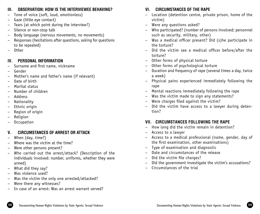# **III. OBSERVATION: HOW IS THE INTERVIEWEE BEHAVING?**

- Tone of voice (soft, loud, emotionless)
- Gaze (little eye contact)
- Tears (at which point during the interview?)
- Silence or non-stop talk
- Body language (nervous movements, no movements)
- Responses (hesitations after questions, asking for questions to be repeated)
- Other

# **IV. PERSONAL INFORMATION**

- Surname and first name, nickname
- Gender
- Mother's name and father's name (if relevant)
- Date of birth
- Marital status
- Number of children
- Address
- Nationality
- Ethnic origin
- Region of origin
- Religion
- Occupation

# **V. CIRCUMSTANCES OF ARREST OR ATTACK**

- When (day, time?)
- Where was the victim at the time?
- Were other persons present?
- Who carried out the arrest/attack? (Description of the individuals involved: number, uniforms, whether they were armed)
- What did they say?
- Was violence used?
- Was the victim the only one arrested/attacked?
- Were there any witnesses?
- In case of an arrest: Was an arrest warrant served?

# **VI. CIRCUMSTANCES OF THE RAPE**

- Location (detention centre, private prison, home of the victim)
- Were any questions asked?
- Who participated? (number of persons involved; personnel such as security, military, other)
- Was a medical officer present? Did (s)he participate in the torture?
- Did the victim see a medical officer before/after the torture?
- Other forms of physical torture
- Other forms of psychological torture
- Duration and frequency of rape (several times a day, twice a week)
- Physical pains experienced immediately following the rape
- Mental reactions immediately following the rape
- Was the victim made to sign any statements?
- Were charges filed against the victim?
- Did the victim have access to a lawyer during detention?

# **VII. CIRCUMSTANCES FOLLOWING THE RAPE**

- How long did the victim remain in detention?
- Access to a lawyer
- Access to a medical professional (name, gender, day of the first examination, other examinations)
- Type of examination and diagnostic
- Date and circumstances of the release
- Did the victim file charges?
- Did the government investigate the victim's accusations?
- Circumstances of the trial

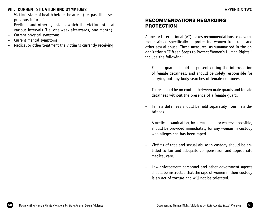# **VIII. CURRENT SITUATION AND SYMPTOMS**

- Victim's state of health before the arrest (i.e. past illnesses, previous injuries)
- Feelings and other symptoms which the victim noted at various intervals (i.e. one week afterwards, one month)
- Current physical symptoms
- Current mental symptoms
- Medical or other treatment the victim is currently receiving

# RECOMMENDATIONS REGARDING PROTECTION

Amnesty International (AI) makes recommendations to governments aimed specifically at protecting women from rape and other sexual abuse. These measures, as summarized in the organization's "Fifteen Steps to Protect Women's Human Rights," include the following:

- Female guards should be present during the interrogation of female detainees, and should be solely responsible for carrying out any body searches of female detainees.
- There should be no contact between male guards and female detainees without the presence of a female guard.
- Female detainees should be held separately from male detainees.
- A medical examination, by a female doctor wherever possible, should be provided immediately for any woman in custody who alleges she has been raped.
- Victims of rape and sexual abuse in custody should be entitled to fair and adequate compensation and appropriate medical care.
- Law-enforcement personnel and other government agents should be instructed that the rape of women in their custody is an act of torture and will not be tolerated.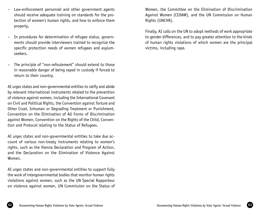- Law-enforcement personnel and other government agents should receive adequate training on standards for the protection of women's human rights, and how to enforce them properly.
- In procedures for determination of refugee status, governments should provide interviewers trained to recognize the specific protection needs of women refugees and asylumseekers.
- The principle of "non-refoulement" should extend to those in reasonable danger of being raped in custody if forced to return to their country.

AI urges states and non-governmental entities to ratify and abide by relevant international instruments related to the prevention of violence against women, including the International Covenant on Civil and Political Rights, the Convention against Torture and Other Cruel, Inhuman or Degrading Treatment or Punishment, Convention on the Elimination of All Forms of Discrimination against Women, Convention on the Rights of the Child, Convention and Protocol relating to the Status of Refugees.

AI urges states and non-governmental entities to take due account of various non-treaty instruments relating to women's rights, such as the Vienna Declaration and Program of Action, and the Declaration on the Elimination of Violence Against Women.

AI urges states and non-governmental entities to support fully the work of intergovernmental bodies that monitor human rights violations against women, such as the UN Special Rapporteur on violence against women, UN Commission on the Status of Women, the Committee on the Elimination of Discrimination Against Women (CEDAW), and the UN Commission on Human Rights (UNCHR).

Finally, AI calls on the UN to adopt methods of work appropriate to gender differences, and to pay greater attention to the kinds of human rights violations of which women are the principal victims, including rape.

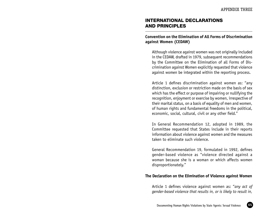# INTERNATIONAL DECLARATIONS AND PRINCIPLES

#### **Convention on the Elimination of All Forms of Discrimination against Women (CEDAW)**

Although violence against women was not originally included in the CEDAW, drafted in 1979, subsequent recommendations by the Committee on the Elimination of all Forms of Discrimination against Women explicitly requested that violence against women be integrated within the reporting process.

Article 1 defines discrimination against women as: "any distinction, exclusion or restriction made on the basis of sex which has the effect or purpose of impairing or nullifying the recognition, enjoyment or exercise by women, irrespective of their marital status, on a basis of equality of men and women, of human rights and fundamental freedoms in the political, economic, social, cultural, civil or any other field."

In General Recommendation 12, adopted in 1989, the Committee requested that States include in their reports information about violence against women and the measures taken to eliminate such violence.

General Recommendation 19, formulated in 1992, defines gender-based violence as "violence directed against a woman because she is a woman or which affects women disproportionately."

#### **The Declaration on the Elimination of Violence against Women**

Article 1 defines violence against women as: "*any act of gender-based violence that results in, or is likely to result in,*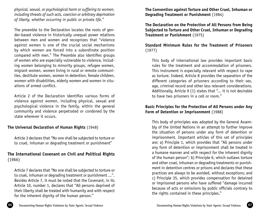*physical, sexual, or psychological harm or suffering to women, including threats of such acts, coercion or arbitrary deprivation of liberty, whether occurring in public or private life*."

The preamble to the Declaration locates the roots of gender-based violence in historically unequal power relations between men and women and recognizes that "violence against women is one of the crucial social mechanisms by which women are forced into a subordinate position compared with men." The Preamble also identifies groups of women who are especially vulnerable to violence, including women belonging to minority groups, refugee women, migrant women, women living in rural or remote communities, destitute women, women in detention, female children, women with disabilities, elderly women and women in situations of armed conflict.

Article 2 of the Declaration identifies various forms of violence against women, including physical, sexual and psychological violence in the family, within the general community and violence perpetrated or condoned by the state wherever it occurs.

# **The Universal Declaration of Human Rights** (1948)

Article 3 declares that "No one shall be subjected to torture or to cruel, inhuman or degrading treatment or punishment"

# **The International Covenant on Civil and Political Rights**  (1966)

Article 7 declares that "No one shall be subjected to torture or to cruel, inhuman or degrading treatment or punishment ...". Besides Article 7, it must be noted that the Covenant, in its Article 10, number 1, declares that "All persons deprived of their liberty shall be treated with humanity and with respect for the inherent dignity of the human person."

**The Convention against Torture and Other Cruel, Inhuman or Degrading Treatment or Punishment** (1984)

**The Declaration on the Protection of All Persons from Being Subjected to Torture and Other Cruel, Inhuman or Degrading Treatment or Punishment** (1975)

# **Standard Minimum Rules for the Treatment of Prisoners** (1977)

This body of international law provides important basic rules for the treatment and accommodation of prisoners. This instrument is especially relevant with respect to rape as torture. Indeed, Article 8 provides the separation of the different categories of prisoners according to their sex, age, criminal record and other less relevant considerations. Additionally, Article 9 (1) states that "... it is not desirable to have two prisoners in a cell or room."

### **Basic Principles for the Protection of All Persons under Any Form of Detention or Imprisonment** (1988)

This body of principles was adopted by the General Assembly of the United Nations in an attempt to further improve the situation of persons under any form of detention or imprisonment. Important articles of this set of principles are: a) Principle 1, which provides that "All persons under any form of detention or imprisonment shall be treated in a humane manner and with respect for the inherent dignity of the human person"; b) Principle 6, which outlaws torture and other cruel, inhuman or degrading treatments or punishment in detention centres or prisons and declares that these practices are always to be avoided, without exceptions; and c) Principle 35, which provides compensation for detained or imprisoned persons who have suffered "damage incurred because of acts or omissions by public officials contrary to the rights contained in these principles."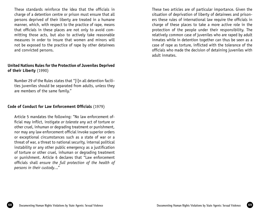These standards reinforce the idea that the officials in charge of a detention centre or prison must ensure that all persons deprived of their liberty are treated in a humane manner, which, with respect to the practice of rape, means that officials in these places are not only to avoid committing those acts, but also to actively take reasonable measures in order to insure that women and minors will not be exposed to the practice of rape by other detainees and convicted persons.

#### **United Nations Rules for the Protection of Juveniles Deprived of their Liberty** (1990)

Number 29 of the Rules states that "[i]n all detention facilities juveniles should be separated from adults, unless they are members of the same family."

#### **Code of Conduct for Law Enforcement Officials** (1979)

Article 5 mandates the following: "No law enforcement official may inflict, instigate *or tolerate* any act of torture or other cruel, inhuman or degrading treatment or punishment, nor may any law enforcement official invoke superior orders or exceptional circumstances such as a state of war or a threat of war, a threat to national security, internal political instability or any other public emergency as a justification of torture or other cruel, inhuman or degrading treatment or punishment. Article 6 declares that "Law enforcement officials shall *ensure the full protection of the health of persons in their custody.*.."

These two articles are of particular importance. Given the situation of deprivation of liberty of detainees and prisoners these rules of international law require the officials in charge of these places to take a more active role in the protection of the people under their responsibility. The relatively common case of juveniles who are raped by adult inmates while in detention together can thus be seen as a case of rape as torture, inflicted with the tolerance of the officials who made the decision of detaining juveniles with adult inmates.